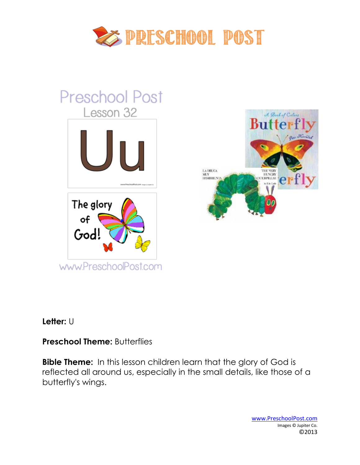

# **Preschool Post** Lesson 32 The glory of God! www.PreschoolPost.com



#### **Letter:** U

# **Preschool Theme: Butterflies**

**Bible Theme:** In this lesson children learn that the glory of God is reflected all around us, especially in the small details, like those of a butterfly's wings.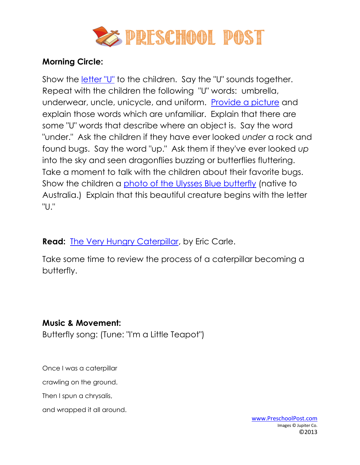

## **Morning Circle:**

Show the *letter* "U" to the children. Say the "U" sounds together. Repeat with the children the following "U" words: umbrella, underwear, uncle, unicycle, and uniform. [Provide a picture](http://www.preschoolpost.com/MayButterflies.html) and explain those words which are unfamiliar. Explain that there are some "U" words that describe where an object is. Say the word "under." Ask the children if they have ever looked *under* a rock and found bugs. Say the word "up." Ask them if they've ever looked *up* into the sky and seen dragonflies buzzing or butterflies fluttering. Take a moment to talk with the children about their favorite bugs. Show the children a [photo of the Ulysses Blue butterfly](http://www.preschoolpost.com/MayButterflies.html) (native to Australia.) Explain that this beautiful creature begins with the letter "U."

**Read:** [The Very Hungry Caterpillar,](http://www.amazon.com/gp/product/0399250395/ref=as_li_ss_tl?ie=UTF8&tag=christpreschp-20&linkCode=as2&camp=1789&creative=390957&creativeASIN=0399250395) by Eric Carle.

Take some time to review the process of a caterpillar becoming a butterfly.

#### **Music & Movement:**

Butterfly song: (Tune: "I'm a Little Teapot")

Once I was a caterpillar

crawling on the ground.

Then I spun a chrysalis,

and wrapped it all around.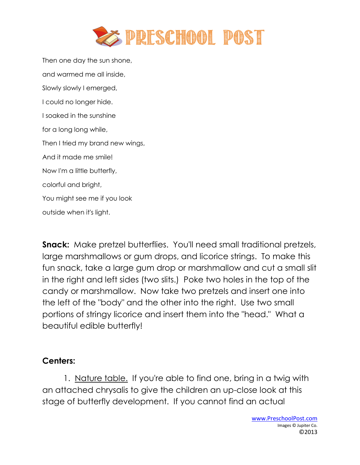

Then one day the sun shone, and warmed me all inside, Slowly slowly I emerged, I could no longer hide. I soaked in the sunshine for a long long while, Then I tried my brand new wings, And it made me smile! Now I'm a little butterfly, colorful and bright, You might see me if you look outside when it's light.

**Snack:** Make pretzel butterflies. You'll need small traditional pretzels, large marshmallows or gum drops, and licorice strings. To make this fun snack, take a large gum drop or marshmallow and cut a small slit in the right and left sides (two slits.) Poke two holes in the top of the candy or marshmallow. Now take two pretzels and insert one into the left of the "body" and the other into the right. Use two small portions of stringy licorice and insert them into the "head." What a beautiful edible butterfly!

#### **Centers:**

1. Nature table. If you're able to find one, bring in a twig with an attached chrysalis to give the children an up-close look at this stage of butterfly development. If you cannot find an actual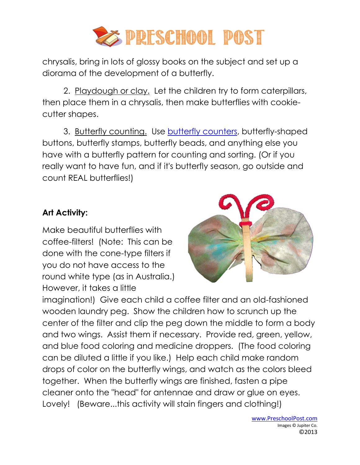

chrysalis, bring in lots of glossy books on the subject and set up a diorama of the development of a butterfly.

2. Playdough or clay. Let the children try to form caterpillars, then place them in a chrysalis, then make butterflies with cookiecutter shapes.

3. Butterfly counting. Use [butterfly counters,](http://www.preschoolpost.com/MayButterflies.html) butterfly-shaped buttons, butterfly stamps, butterfly beads, and anything else you have with a butterfly pattern for counting and sorting. (Or if you really want to have fun, and if it's butterfly season, go outside and count REAL butterflies!)

# **Art Activity:**

Make beautiful butterflies with coffee-filters! (Note: This can be done with the cone-type filters if you do not have access to the round white type (as in Australia.) However, it takes a little



imagination!) Give each child a coffee filter and an old-fashioned wooden laundry peg. Show the children how to scrunch up the center of the filter and clip the peg down the middle to form a body and two wings. Assist them if necessary. Provide red, green, yellow, and blue food coloring and medicine droppers. (The food coloring can be diluted a little if you like.) Help each child make random drops of color on the butterfly wings, and watch as the colors bleed together. When the butterfly wings are finished, fasten a pipe cleaner onto the "head" for antennae and draw or glue on eyes. Lovely! (Beware...this activity will stain fingers and clothing!)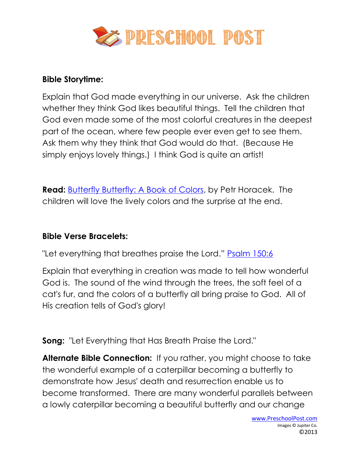

#### **Bible Storytime:**

Explain that God made everything in our universe. Ask the children whether they think God likes beautiful things. Tell the children that God even made some of the most colorful creatures in the deepest part of the ocean, where few people ever even get to see them. Ask them why they think that God would do that. (Because He simply enjoys lovely things.) I think God is quite an artist!

**Read:** [Butterfly Butterfly: A Book of Colors,](http://www.amazon.com/gp/product/0763633437/ref=as_li_ss_tl?ie=UTF8&tag=christpreschp-20&linkCode=as2&camp=1789&creative=390957&creativeASIN=0763633437) by Petr Horacek. The children will love the lively colors and the surprise at the end.

# **Bible Verse Bracelets:**

"Let everything that breathes praise the Lord." [Psalm 150:6](http://www.preschoolpost.com/MayButterflies.html)

Explain that everything in creation was made to tell how wonderful God is. The sound of the wind through the trees, the soft feel of a cat's fur, and the colors of a butterfly all bring praise to God. All of His creation tells of God's glory!

**Song:** "Let Everything that Has Breath Praise the Lord."

**Alternate Bible Connection:** If you rather, you might choose to take the wonderful example of a caterpillar becoming a butterfly to demonstrate how Jesus' death and resurrection enable us to become transformed. There are many wonderful parallels between a lowly caterpillar becoming a beautiful butterfly and our change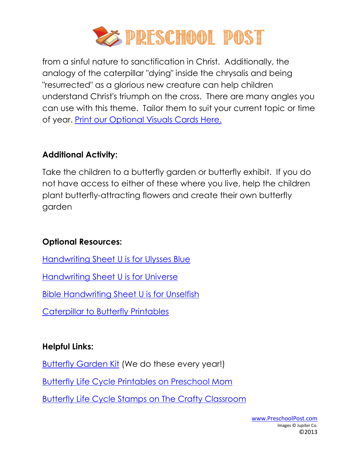

from a sinful nature to sanctification in Christ. Additionally, the analogy of the caterpillar "dying" inside the chrysalis and being "resurrected" as a glorious new creature can help children understand Christ's triumph on the cross. There are many angles you can use with this theme. Tailor them to suit your current topic or time of year. [Print our Optional Visuals Cards Here.](http://www.preschoolpost.com/MayButterflies.html)

# **Additional Activity:**

Take the children to a butterfly garden or butterfly exhibit. If you do not have access to either of these where you live, help the children plant butterfly-attracting flowers and create their own butterfly garden

# **Optional Resources:**

[Handwriting Sheet U is for Ulysses Blue](http://www.preschoolpost.com/MayButterflies.html)

[Handwriting Sheet U is for Universe](http://www.preschoolpost.com/MayButterflies.html)

[Bible Handwriting Sheet U is for Unselfish](http://www.preschoolpost.com/MayButterflies.html)

[Caterpillar to Butterfly Printables](http://www.preschoolpost.com/MayButterflies.html)

# **Helpful Links:**

**[Butterfly Garden Kit](http://www.amazon.com/gp/product/B00000ISC5?ie=UTF8&tag=llbugs-20&linkCode=as2&camp=1789&creative=9325&creativeASIN=B00000ISC5) (We do these every year!)** 

[Butterfly Life Cycle Printables on Preschool Mom](http://www.preschoolmom.com/Themes/Bugs.html)

Butterfly [Life Cycle Stamps on The Crafty Classroom](http://www.thecraftyclassroom.com/CraftInsectStampers.html)